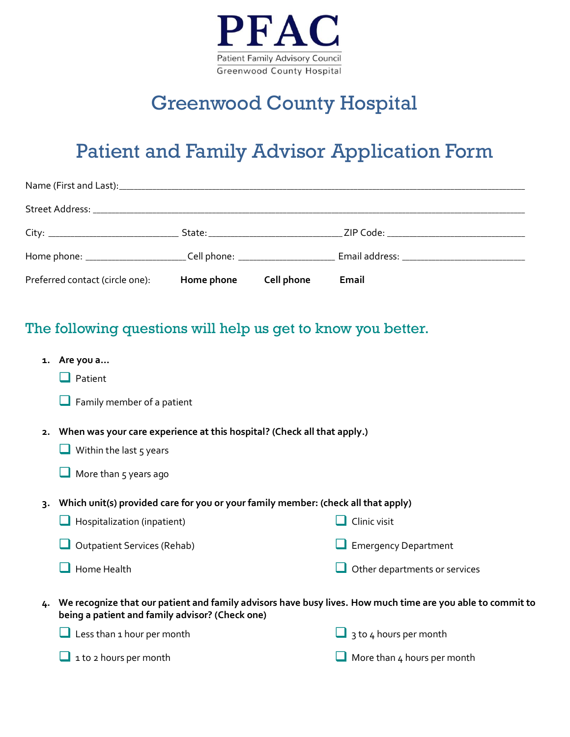

# Greenwood County Hospital

## Patient and Family Advisor Application Form

| Preferred contact (circle one): | Home phone | Cell phone | Email |
|---------------------------------|------------|------------|-------|

### The following questions will help us get to know you better.

- **1. Are you a…**
	- $\Box$  Patient
	- $\Box$  Family member of a patient
- **2. When was your care experience at this hospital? (Check all that apply.)**
	- $\Box$  Within the last 5 years
	- $\Box$  More than 5 years ago
- **3. Which unit(s) provided care for you or your family member: (check all that apply)**
	- $\Box$  Hospitalization (inpatient) Outpatient Services (Rehab)  $\Box$  Home Health  $\Box$  Clinic visit **Emergency Department**  $\Box$  Other departments or services
- **4. We recognize that our patient and family advisors have busy lives. How much time are you able to commit to being a patient and family advisor? (Check one)**

 $\Box$  Less than 1 hour per month

 $\Box$  1 to 2 hours per month

- $\Box$  3 to 4 hours per month
- More than 4 hours per month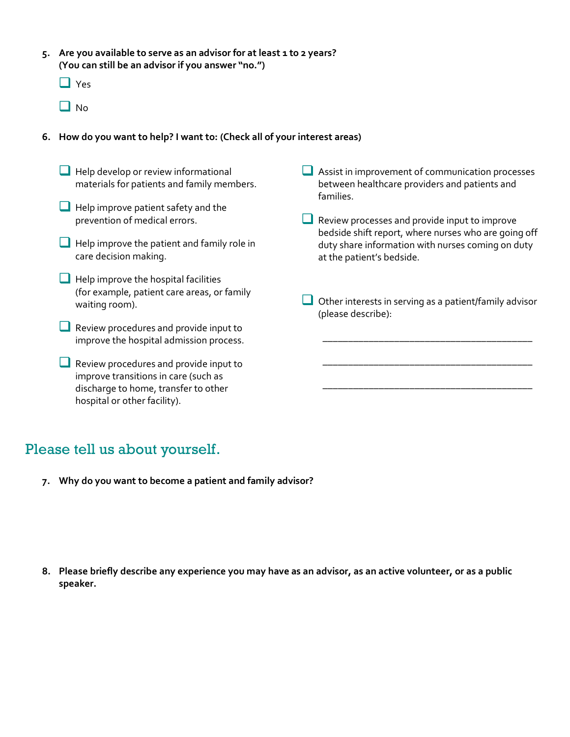- **5. Are you available to serve as an advisor for at least 1 to 2 years? (You can still be an advisor if you answer "no.")** 
	- $\Box$  Yes
	- $\Box$  No

#### **6. How do you want to help? I want to: (Check all of your interest areas)**

 $\Box$  Help develop or review informational materials for patients and family members.

- $\Box$  Help improve patient safety and the prevention of medical errors.
- $\Box$  Help improve the patient and family role in care decision making.
- $\Box$  Help improve the hospital facilities (for example, patient care areas, or family waiting room).
- Review procedures and provide input to improve the hospital admission process.
- Review procedures and provide input to improve transitions in care (such as discharge to home, transfer to other hospital or other facility).
- Assist in improvement of communication processes between healthcare providers and patients and families.
- Review processes and provide input to improve bedside shift report, where nurses who are going off duty share information with nurses coming on duty at the patient's bedside.
- Other interests in serving as a patient/family advisor (please describe):

\_\_\_\_\_\_\_\_\_\_\_\_\_\_\_\_\_\_\_\_\_\_\_\_\_\_\_\_\_\_\_\_\_\_\_\_\_\_\_\_\_ .

\_\_\_\_\_\_\_\_\_\_\_\_\_\_\_\_\_\_\_\_\_\_\_\_\_\_\_\_\_\_\_\_\_\_\_\_\_\_\_\_\_ .

\_\_\_\_\_\_\_\_\_\_\_\_\_\_\_\_\_\_\_\_\_\_\_\_\_\_\_\_\_\_\_\_\_\_\_\_\_\_\_\_\_ .

### Please tell us about yourself.

**7. Why do you want to become a patient and family advisor?**

**8. Please briefly describe any experience you may have as an advisor, as an active volunteer, or as a public speaker.**